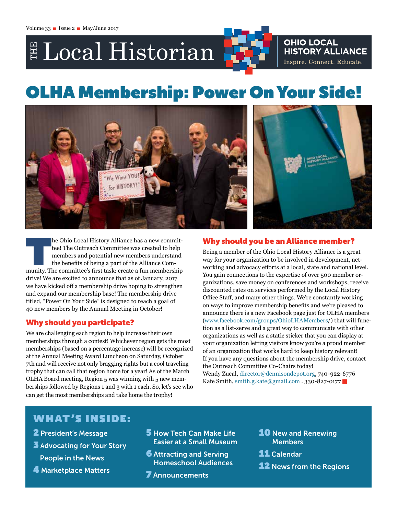# Local Historian

# **OLHA Membership: Power On Your Side!**



The Ohio Local History Alliance has a new committee! The Outreach Committee was created to help members and potential new members understand the benefits of being a part of the Alliance Community. The committee's first tas tee! The Outreach Committee was created to help members and potential new members understand the benefits of being a part of the Alliance Comdrive! We are excited to announce that as of January, 2017 we have kicked off a membership drive hoping to strengthen and expand our membership base! The membership drive titled, "Power On Your Side" is designed to reach a goal of 40 new members by the Annual Meeting in October!

# Why should you participate?

We are challenging each region to help increase their own memberships through a contest! Whichever region gets the most memberships (based on a percentage increase) will be recognized at the Annual Meeting Award Luncheon on Saturday, October 7th and will receive not only bragging rights but a cool traveling trophy that can call that region home for a year! As of the March OLHA Board meeting, Region 5 was winning with 5 new memberships followed by Regions 1 and 3 with 1 each. So, let's see who can get the most memberships and take home the trophy!

**OHIO LOCAL** 

**HISTORY ALLIANCE** Inspire. Connect. Educate.

## Why should you be an Alliance member?

Being a member of the Ohio Local History Alliance is a great way for your organization to be involved in development, networking and advocacy efforts at a local, state and national level. You gain connections to the expertise of over 500 member organizations, save money on conferences and workshops, receive discounted rates on services performed by the Local History Office Staff, and many other things. We're constantly working on ways to improve membership benefits and we're pleased to announce there is a new Facebook page just for OLHA members ([www.facebook.com/groups/OhioLHAMembers](http://www.facebook.com/groups/OhioLHAMembers)/) that will function as a list-serve and a great way to communicate with other organizations as well as a static sticker that you can display at your organization letting visitors know you're a proud member of an organization that works hard to keep history relevant! If you have any questions about the membership drive, contact the Outreach Committee Co-Chairs today! Wendy Zucal, [director@dennisondepot.org,](mailto:director@dennisondepot.org) 740-922-6776 Kate Smith, [smith.g.kate@gmail.com](mailto:smith.g.kate@gmail.com) . 330-827-0177

# W HAT 'S INSIDE:

- 2 President's Message
- 3 Advocating for Your Story
	- People in the News
- 4 Marketplace Matters
- **5** How Tech Can Make Life Easier at a Small Museum
- **6** Attracting and Serving Homeschool Audiences
- **7** Announcements
- **10 New and Renewing** Members
- **11** Calendar
- **12** News from the Regions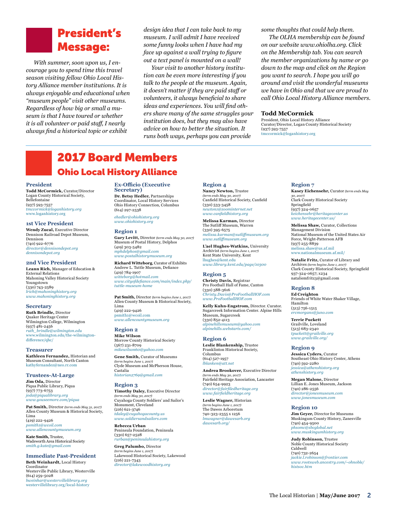# President's Message:

*With summer, soon upon us, I encourage you to spend time this travel season visiting fellow Ohio Local History Alliance member institutions. It is always enjoyable and educational when "museum people" visit other museums. Regardless of how big or small a museum is that I have toured or whether it is all volunteer or paid staff, I nearly always find a historical topic or exhibit* 

*design idea that I can take back to my museum. I will admit I have received some funny looks when I have had my face up against a wall trying to figure out a text panel is mounted on a wall!* 

*Your visit to another history institution can be even more interesting if you talk to the people at the museum. Again, it doesn't matter if they are paid staff or volunteers, it always beneficial to share ideas and experiences. You will find others share many of the same struggles your institution does, but they may also have advice on how to better the situation. It runs both ways, perhaps you can provide* 

*some thoughts that could help them.* 

*The OLHA membership can be found on our website [www.ohiolha.org](http://www.ohiolha.org). Click on the Membership tab. You can search the member organizations by name or go down to the map and click on the Region you want to search. I hope you will go around and visit the wonderful museums we have in Ohio and that we are proud to call Ohio Local History Alliance members.* 

#### **Todd McCormick**

President, Ohio Local History Alliance Curator/Director, Logan County Historical Society (937) 593-7557 [tmccormick@loganhistory.org](mailto:tmccormick@loganhistory.org)

# 2017 Board Members Ohio Local History Alliance

#### **President**

**Todd McCormick,** Curator/Director Logan County Historical Society, Bellefontaine (937) 593-7557 *[tmccormick@loganhistory.org](mailto:tmccormick@loganhistory.org)* [www.loganhistory.org](http://www.loganhistory.org)

#### **1st Vice President**

**Wendy Zucal,** Executive Director Dennison Railroad Depot Museum, Dennison (740) 922-6776 *[director@dennisondepot.org](mailto:director@dennisondepot.org) [dennisondepot.org](http://dennisondepot.org)*

#### **2nd Vice President**

**Leann Rich,** Manager of Education & External Relations Mahoning Valley Historical Society Youngstown (330) 743-2589 *[lrich@mahoninghistory.org](mailto:lrich@mahoninghistory.org)  [www.mahoninghistory.org](http://www.mahoninghistory.org)*

#### **Secretary**

**Ruth Brindle,** Director Quaker Heritage Center Wilmington College, Wilmington (937) 481-2456 *[ruth\\_brindle@wilmington.edu](mailto:ruth_brindle@wilmington.edu)* [www.wilmington.edu/the-wilmington](https://www.wilmington.edu/the-wilmington-difference/qhc/)[difference/qhc/](https://www.wilmington.edu/the-wilmington-difference/qhc/)

#### **Treasurer**

**Kathleen Fernandez,** Historian and Museum Consultant, North Canton [kathyfernandez@neo.rr.com](mailto:kathyfernandez%40neo.rr.com?subject=)

**Trustees-At-Large Jim Oda,** Director

Piqua Public Library, Piqua (937) 773-6753 *[joda@piqualibrary.org](mailto:joda@piqualibrary.org) [www.youseemore.com/piqua](http://www.youseemore.com/piqua)*

**Pat Smith,** Director *(term ends May 31, 2017)* Allen County Museum & Historical Society, Lima (419) 222-9426 *[psmith1@wcoil.com](mailto:psmith1@wcoil.com) [www.allencountymuseum.org](http://www.allencountymuseum.org)*

**Kate Smith,** Trustee, Wadsworth Area Historical Society *[smith.g.kate@gmail.com](mailto:smith.g.kate@gmail.com)*

**Immediate Past-President Beth Weinhardt,** Local History

Coordinator Westerville Public Library, Westerville (614) 259-5028 *[bweinhar@westervillelibrary.org](mailto:bweinhar@westervillelibrary.org)* [westervillelibrary.org/local-history](http://westervillelibrary.org/local-history)

**Ex-Officio (Executive Secretary) Dr. Betsy Hedler,** Partnerships Coordinator, Local History Services

Ohio History Connection, Columbus (614) 297-2538 *[ehedler@ohiohistory.org](mailto:ehedler@ohiohistory.org)* 

#### *[www.ohiohistory.org](http://www.ohiohistory.org)*

#### **Region 1**

**Gary Levitt,** Director *(term ends May 30, 2017)* Museum of Postal History, Delphos (419) 303-5482 *[mphdelphos@gmail.com](mailto:mphdelphos@gmail.com) [www.postalhistorymuseum.org](http://www.postalhistorymuseum.org)* **Richard Witteborg**, Curator of Exhibits

Andrew L. Tuttle Museum, Defiance (419) 784-1907 *[witteborg@hotmail.com](mailto:witteborg%40hotmail.com?subject=) [www.cityofdefiance.com/main/index.php/](http://www.cityofdefiance.com/main/index.php/tuttle-museum-home) [tuttle-museum-home](http://www.cityofdefiance.com/main/index.php/tuttle-museum-home)* 

#### **Pat Smith,** Director *(term begins June 1, 2017)* Allen County Museum & Historical Society, Lima (419) 222-9426

[psmith1@wcoil.com](mailto:psmith1@wcoil.com) *[www.allencountymuseum.org](http://www.allencountymuseum.org/ACM2/Welcome.html)* 

#### **Region 2**

**Mike Wilson** Morrow County Historical Society (567) 231-8709 *[mikewilson60@yahoo.com](mailto:mikewilson60@yahoo.com)*

**Gene Smith,** Curator of Museums *(term begins June 1, 2017)* Clyde Museum and McPherson House, Castalia

### *[historian2769@gmail.com](mailto:historian2769@gmail.com )*

#### **Region 3**

**Timothy Daley,** Executive Director *(term ends May 30, 2017)* Cuyahoga County Soldiers' and Sailor's Monument, Cleveland (216) 621-3746 *[tdaley@cuyahogacounty.us](mailto:tdaley@cuyahogacounty.us) [www.soldiersandsailors.com](http://www.soldiersandsailors.com)*

**Rebecca Urban** Peninsula Foundation, Peninsula (330) 657-2528

*[rurban@peninsulahistory.org](mailto:rurban@peninsulahistory.org)* **Greg Palumbo,** Director *(term begins June 1, 2017)* Lakewood Historical Society, Lakewood (216) 221-7343 *[director@lakewoodhistory.org](mailto:director@lakewoodhistory.org )*

#### **Region 4**

**Nancy Newton,** Trustee *(term ends May 30, 2017)* Canfield Historical Society, Canfield (330) 533-3458 *[newton1@zoominternet.net](mailto:newton1@zoominternet.net) [www.canfieldhistory.org](http://www.canfieldhistory.org)*

**Melissa Karman,** Director The Sutliff Museum, Warren (330) 395-6575 *[melissa.karman@sutliffmuseum.org](mailto:melissa.karman@sutliffmuseum.org)  [www.sutliffmuseum.org](http://www.sutliffmuseum.org/)*

**L'ael Hughes-Watkins,** University Archivist *(term begins June 1, 2017)* Kent State University, Kent [lhughes@kent.edu](mailto:lhughes@kent.edu) *[www.library.kent.edu/page/10300](http://www.library.kent.edu/page/10300 )*

#### **Region 5**

**Christy Davis,** Registrar Pro Football Hall of Fame, Canton (330) 588-3616 *[Christy.Davis@ProFootballHOF.com](mailto:Christy.Davis@ProFootballHOF.com) [www.ProFootballHOF.com](http://www.profootballhof.com/)*

**Kelly Kuhn-Engstrom,** Director. Curator. Sugarcreek Information Center. Alpine Hills Museum, Sugarcreek (330) 852-4113 *[alpinehillsmuseum@yahoo.com](mailto:alpinehillsmuseum@yahoo.com) [alpinehills.webstarts.com/](http://alpinehills.webstarts.com)*

#### **Region 6**

**Leslie Blankenship,** Trustee Franklinton Historical Society, Columbus (614) 527-1957 *[lblanken@att.net](mailto:lblanken@att.net)* 

**Andrea Brookover,** Executive Director *(term ends May 30, 2017)*  Fairfield Heritage Association, Lancaster (740) 654-9923 *[director@fairfiledheritage.org](mailto:director@fairfiledheritage.org) [www.fairfieldheritage.org](http://www.fairfieldheritage.org)*

**Leslie Wagner,** Historian *(term begins June 1, 2017)* The Dawes Arboretum 740-323-2355 x 1256 *[lmwagner@dawesarb.org](mailto:lmwagner@dawesarb.org ) [dawesarb.org/](http://dawesarb.org/ )*

#### **Region 7**

**Kasey Eichensehr,** Curator *(term ends May 30, 2017)* Clark County Historical Society Springfield (937) 324-0657 *[keichensehr@heritagecenter.us](mailto:keichensehr@heritagecenter.us) [www.heritagecenter.us](http://www.heritagecenter.us)/*

**Melissa Shaw,** Curator, Collections Management Division National Museum of the United States Air Force, Wright-Patterson AFB (937) 255-8839 [melissa.shaw@us.af.mil](mailto:melissa.shaw@us.af.mil http://www.nationalmuseum.af.mil/ ) [www.nationalmuseum.af.mil/](mailto:melissa.shaw@us.af.mil http://www.nationalmuseum.af.mil/ )

**Natalie Fritz,** [Curator of Library and](mailto:melissa.shaw@us.af.mil http://www.nationalmuseum.af.mil/ )  Archives *[\(term begins June 1, 2017\)](mailto:melissa.shaw@us.af.mil http://www.nationalmuseum.af.mil/ )* [Clark County Historical Society, Springfield](mailto:melissa.shaw@us.af.mil http://www.nationalmuseum.af.mil/ ) [937-324-0657; x234](mailto:melissa.shaw@us.af.mil http://www.nationalmuseum.af.mil/ ) [nataliemfritz3@gmail.com](mailto:melissa.shaw@us.af.mil http://www.nationalmuseum.af.mil/ )

#### **Region 8**

**Ed Creighton** Friends of White Water Shaker Village, Hamilton (513) 756-1515 *[ercmorgans@juno.com](mailto:ercmorgans@juno.com)*

**Terrie Puckett** Grailville, Loveland (513) 683-2340 *[tpuckett@grailville.org](mailto:tpuckett@grailville.org) [www.grailville.org](http://www.grailville.org)/*

#### **Region 9**

**Jessica Cyders,** Curator Southeast Ohio History Center, Athens (740) 592-2280 *[jessica@athenshistory.org](mailto:jessica@athenshistory.org)  [athenshistory.org](http://athenshistory.org)*

**Megan Malone,** Director Lillian E. Jones Museum, Jackson (740) 286-2556 *[director@jonesmuseum.com](mailto:director@jonesmuseum.com) [www.jonesmuseum.com](http://www.jonesmuseum.com)*

#### **Region 10**

**Jim Geyer,** Director for Museums Muskingum County History, Zanesville (740) 454-9500 *[phsomc@sbcglobal.net](mailto:phsomc@sbcglobal.net) [www.muskingumhistory.org](http://www.muskingumhistory.org)*

**Judy Robinson,** Trustee Noble County Historical Society Caldwell (740) 732-2654 *[jackie.l.robinson@frontier.com](mailto:jackie.l.robinson@frontier.com) [www.rootsweb.ancestry.com/~ohnoble/](http://www.rootsweb.ancestry.com/~ohnoble/histsoc.htm) [histsoc.htm](http://www.rootsweb.ancestry.com/~ohnoble/histsoc.htm)*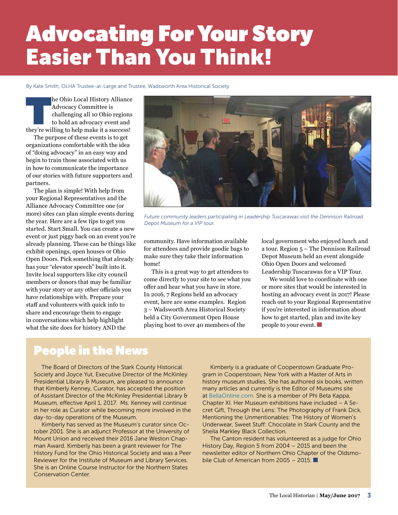# Advocating For Your Story Easier Than You Think!

By Kate Smith, OLHA Trustee-at-Large and Trustee, Wadsworth Area Historical Society

The Ohio Local History Alliance<br>
Advocacy Committee is<br>
challenging all 10 Ohio regions<br>
to hold an advocacy event and<br>
they're willing to help make it a success! Advocacy Committee is challenging all 10 Ohio regions to hold an advocacy event and

The purpose of these events is to get organizations comfortable with the idea of "doing advocacy" in an easy way and begin to train those associated with us in how to communicate the importance of our stories with future supporters and partners.

The plan is simple! With help from your Regional Representatives and the Alliance Advocacy Committee one (or more) sites can plan simple events during the year. Here are a few tips to get you started. Start Small. You can create a new event or just piggy back on an event you're already planning. These can be things like exhibit openings, open houses or Ohio Open Doors. Pick something that already has your "elevator speech" built into it. Invite local supporters like city council members or donors that may be familiar with your story or any other officials you have relationships with. Prepare your staff and volunteers with quick info to share and encourage them to engage in conversations which help highlight what the site does for history AND the



*Future community leaders participating in Leadership Tuscarawas visit the Dennison Railroad Depot Museum for a VIP tour.*

community. Have information available for attendees and provide goodie bags to make sure they take their information home!

This is a great way to get attendees to come directly to your site to see what you offer and hear what you have in store. In 2016, 7 Regions held an advocacy event, here are some examples. Region 3 – Wadsworth Area Historical Society held a City Government Open House playing host to over 40 members of the

local government who enjoyed lunch and a tour. Region 5 – The Dennison Railroad Depot Museum held an event alongside Ohio Open Doors and welcomed Leadership Tuscarawas for a VIP Tour.

We would love to coordinate with one or more sites that would be interested in hosting an advocacy event in 2017! Please reach out to your Regional Representative if you're interested in information about how to get started, plan and invite key people to your event.

# People in the News

The Board of Directors of the Stark County Historical Society and Joyce Yut, Executive Director of the McKinley Presidential Library & Museum, are pleased to announce that Kimberly Kenney, Curator, has accepted the position of Assistant Director of the McKinley Presidential Library & Museum, effective April 1, 2017. Ms. Kenney will continue in her role as Curator while becoming more involved in the day-to-day operations of the Museum.

Kimberly has served as the Museum's curator since October 2001. She is an adjunct Professor at the University of Mount Union and received their 2016 Jane Weston Chapman Award. Kimberly has been a grant reviewer for The History Fund for the Ohio Historical Society and was a Peer Reviewer for the Institute of Museum and Library Services. She is an Online Course Instructor for the Northern States Conservation Center.

Kimberly is a graduate of Cooperstown Graduate Program in Cooperstown, New York with a Master of Arts in history museum studies. She has authored six books, written many articles and currently is the Editor of Museums site at [BellaOnline.com.](http://BellaOnline.com) She is a member of Phi Beta Kappa, Chapter XI. Her Museum exhibitions have included – A Secret Gift, Through the Lens: The Photography of Frank Dick, Mentioning the Unmentionables: The History of Women's Underwear, Sweet Stuff: Chocolate in Stark County and the Sheila Markley Black Collection.

The Canton resident has volunteered as a judge for Ohio History Day, Region 5 from 2004 – 2015 and been the newsletter editor of Northern Ohio Chapter of the Oldsmobile Club of American from 2005 – 2015.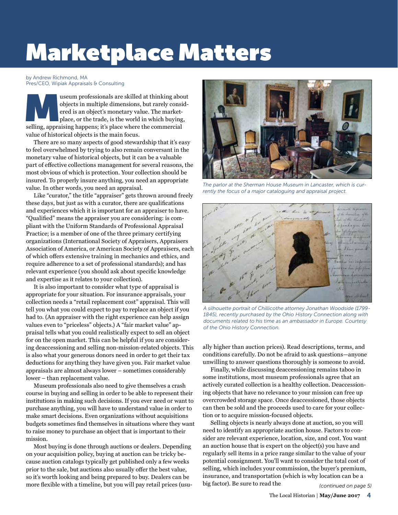# Marketplace Matters

by Andrew Richmond, MA Pres/CEO, Wipiak Appraisals & Consulting

useum professionals are skilled at thinking about<br>objects in multiple dimensions, but rarely consid-<br>ered is an object's monetary value. The market-<br>place, or the trade, is the world in which buying,<br>selling, appraising ha objects in multiple dimensions, but rarely considered is an object's monetary value. The marketplace, or the trade, is the world in which buying, selling, appraising happens; it's place where the commercial value of historical objects is the main focus.

There are so many aspects of good stewardship that it's easy to feel overwhelmed by trying to also remain conversant in the monetary value of historical objects, but it can be a valuable part of effective collections management for several reasons, the most obvious of which is protection. Your collection should be insured. To properly insure anything, you need an appropriate value. In other words, you need an appraisal.

Like "curator," the title "appraiser" gets thrown around freely these days, but just as with a curator, there are qualifications and experiences which it is important for an appraiser to have. "Qualified" means the appraiser you are considering: is compliant with the Uniform Standards of Professional Appraisal Practice; is a member of one of the three primary certifying organizations (International Society of Appraisers, Appraisers Association of America, or American Society of Appraisers, each of which offers extensive training in mechanics and ethics, and require adherence to a set of professional standards); and has relevant experience (you should ask about specific knowledge and expertise as it relates to your collection).

It is also important to consider what type of appraisal is appropriate for your situation. For insurance appraisals, your collection needs a "retail replacement cost" appraisal. This will tell you what you could expect to pay to replace an object if you had to. (An appraiser with the right experience can help assign values even to "priceless" objects.) A "fair market value" appraisal tells what you could realistically expect to sell an object for on the open market. This can be helpful if you are considering deaccessioning and selling non-mission-related objects. This is also what your generous donors need in order to get their tax deductions for anything they have given you. Fair market value appraisals are almost always lower – sometimes considerably lower – than replacement value.

Museum professionals also need to give themselves a crash course in buying and selling in order to be able to represent their institutions in making such decisions. If you ever need or want to purchase anything, you will have to understand value in order to make smart decisions. Even organizations without acquisitions budgets sometimes find themselves in situations where they want to raise money to purchase an object that is important to their mission.

Most buying is done through auctions or dealers. Depending on your acquisition policy, buying at auction can be tricky because auction catalogs typically get published only a few weeks prior to the sale, but auctions also usually offer the best value, so it's worth looking and being prepared to buy. Dealers can be more flexible with a timeline, but you will pay retail prices (usu-



*The parlor at the Sherman House Museum in Lancaster, which is currently the focus of a major cataloguing and appraisal project.*



*A silhouette portrait of Chillicothe attorney Jonathan Woodside (1799- 1845), recently purchased by the Ohio History Connection along with documents related to his time as an ambassador in Europe. Courtesy of the Ohio History Connection.*

ally higher than auction prices). Read descriptions, terms, and conditions carefully. Do not be afraid to ask questions—anyone unwilling to answer questions thoroughly is someone to avoid.

Finally, while discussing deaccessioning remains taboo in some institutions, most museum professionals agree that an actively curated collection is a healthy collection. Deaccessioning objects that have no relevance to your mission can free up overcrowded storage space. Once deaccessioned, those objects can then be sold and the proceeds used to care for your collection or to acquire mission-focused objects.

Selling objects is nearly always done at auction, so you will need to identify an appropriate auction house. Factors to consider are relevant experience, location, size, and cost. You want an auction house that is expert on the object(s) you have and regularly sell items in a price range similar to the value of your potential consignment. You'll want to consider the total cost of selling, which includes your commission, the buyer's premium, insurance, and transportation (which is why location can be a big factor). Be sure to read the

*(continued on page 5)*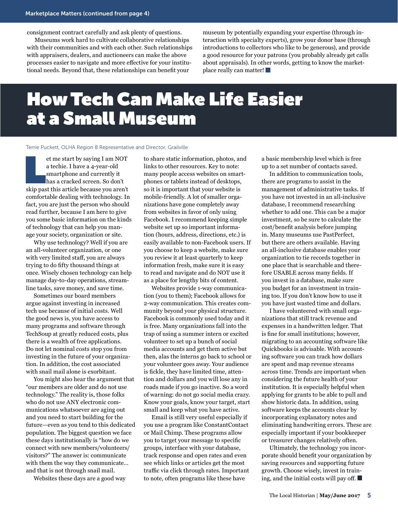consignment contract carefully and ask plenty of questions.

Museums work hard to cultivate collaborative relationships with their communities and with each other. Such relationships with appraisers, dealers, and auctioneers can make the above processes easier to navigate and more effective for your institutional needs. Beyond that, these relationships can benefit your

museum by potentially expanding your expertise (through interaction with specialty experts), grow your donor base (through introductions to collectors who like to be generous), and provide a good resource for your patrons (you probably already get calls about appraisals). In other words, getting to know the marketplace really can matter!

# How Tech Can Make Life Easier at a Small Museum

#### Terrie Puckett, OLHA Region 8 Representative and Director, Grailville

et me start by saying I am NOT<br>a techie. I have a 4-year-old<br>smartphone and currently it<br>has a cracked screen. So don't<br>skip past this article because you aren't et me start by saying I am NOT a techie. I have a 4-year-old smartphone and currently it has a cracked screen. So don't comfortable dealing with technology. In fact, you are just the person who should read further, because I am here to give you some basic information on the kinds of technology that can help you manage your society, organization or site.

Why use technology? Well if you are an all-volunteer organization, or one with very limited staff, you are always trying to do fifty thousand things at once. Wisely chosen technology can help manage day-to-day operations, streamline tasks, save money, and save time.

Sometimes our board members argue against investing in increased tech use because of initial costs. Well the good news is, you have access to many programs and software through TechSoup at greatly reduced costs, plus there is a wealth of free applications. Do not let nominal costs stop you from investing in the future of your organization. In addition, the cost associated with snail mail alone is exorbitant.

You might also hear the argument that "our members are older and do not use technology." The reality is, those folks who do not use ANY electronic communications whatsoever are aging out and you need to start building for the future—even as you tend to this dedicated population. The biggest question we face these days institutionally is "how do we connect with new members/volunteers/ visitors?" The answer is: communicate with them the way they communicate… and that is not through snail mail.

Websites these days are a good way

to share static information, photos, and links to other resources. Key to note: many people access websites on smartphones or tablets instead of desktops, so it is important that your website is mobile-friendly. A lot of smaller organizations have gone completely away from websites in favor of only using Facebook. I recommend keeping simple website set up so important information (hours, address, directions, etc.) is easily available to non-Facebook users. If you choose to keep a website, make sure you review it at least quarterly to keep information fresh, make sure it is easy to read and navigate and do NOT use it as a place for lengthy bits of content.

Websites provide 1-way communication (you to them); Facebook allows for 2-way communication. This creates community beyond your physical structure. Facebook is commonly used today and it is free. Many organizations fall into the trap of using a summer intern or excited volunteer to set up a bunch of social media accounts and get them active but then, alas the interns go back to school or your volunteer goes away. Your audience is fickle, they have limited time, attention and dollars and you will lose any in roads made if you go inactive. So a word of warning: do not go social media crazy. Know your goals, know your target, start small and keep what you have active.

Email is still very useful especially if you use a program like ConstantContact or Mail Chimp. These programs allow you to target your message to specific groups, interface with your database, track response and open rates and even see which links or articles get the most traffic via click through rates. Important to note, often programs like these have

a basic membership level which is free up to a set number of contacts saved.

In addition to communication tools, there are programs to assist in the management of administrative tasks. If you have not invested in an all-inclusive database, I recommend researching whether to add one. This can be a major investment, so be sure to calculate the cost/benefit analysis before jumping in. Many museums use PastPerfect, but there are others available. Having an all-inclusive database enables your organization to tie records together in one place that is searchable and therefore USABLE across many fields. If you invest in a database, make sure you budget for an investment in training too. If you don't know how to use it you have just wasted time and dollars.

I have volunteered with small organizations that still track revenue and expenses in a handwritten ledger. That is fine for small institutions; however, migrating to an accounting software like Quickbooks is advisable. With accounting software you can track how dollars are spent and map revenue streams across time. Trends are important when considering the future health of your institution. It is especially helpful when applying for grants to be able to pull and show historic data. In addition, using software keeps the accounts clear by incorporating explanatory notes and eliminating handwriting errors. These are especially important if your bookkeeper or treasurer changes relatively often.

Ultimately, the technology you incorporate should benefit your organization by saving resources and supporting future growth. Choose wisely, invest in training, and the initial costs will pay off.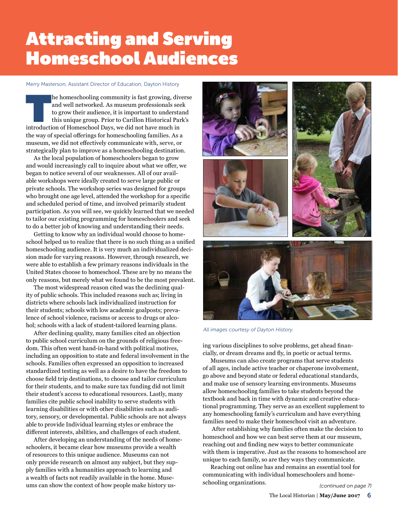# Attracting and Serving Homeschool Audiences

#### Merry Masterson, Assistant Director of Education, Dayton History

The homeschooling community is fast growing, diverse and well networked. As museum professionals seek to grow their audience, it is important to understand this unique group. Prior to Carillon Historical Park's introductio and well networked. As museum professionals seek to grow their audience, it is important to understand this unique group. Prior to Carillon Historical Park's introduction of Homeschool Days, we did not have much in the way of special offerings for homeschooling families. As a museum, we did not effectively communicate with, serve, or strategically plan to improve as a homeschooling destination.

As the local population of homeschoolers began to grow and would increasingly call to inquire about what we offer, we began to notice several of our weaknesses. All of our available workshops were ideally created to serve large public or private schools. The workshop series was designed for groups who brought one age level, attended the workshop for a specific and scheduled period of time, and involved primarily student participation. As you will see, we quickly learned that we needed to tailor our existing programming for homeschoolers and seek to do a better job of knowing and understanding their needs.

Getting to know why an individual would choose to homeschool helped us to realize that there is no such thing as a unified homeschooling audience. It is very much an individualized decision made for varying reasons. However, through research, we were able to establish a few primary reasons individuals in the United States choose to homeschool. These are by no means the only reasons, but merely what we found to be the most prevalent.

The most widespread reason cited was the declining quality of public schools. This included reasons such as; living in districts where schools lack individualized instruction for their students; schools with low academic goalposts; prevalence of school violence, racisms or access to drugs or alcohol; schools with a lack of student-tailored learning plans.

After declining quality, many families cited an objection to public school curriculum on the grounds of religious freedom. This often went hand-in-hand with political motives, including an opposition to state and federal involvement in the schools. Families often expressed an opposition to increased standardized testing as well as a desire to have the freedom to choose field trip destinations, to choose and tailor curriculum for their students, and to make sure tax funding did not limit their student's access to educational resources. Lastly, many families cite public school inability to serve students with learning disabilities or with other disabilities such as auditory, sensory, or developmental. Public schools are not always able to provide Individual learning styles or embrace the different interests, abilities, and challenges of each student.

After developing an understanding of the needs of homeschoolers, it became clear how museums provide a wealth of resources to this unique audience. Museums can not only provide research on almost any subject, but they supply families with a humanities approach to learning and a wealth of facts not readily available in the home. Museums can show the context of how people make history us-



*All images courtesy of Dayton History.*

ing various disciplines to solve problems, get ahead financially, or dream dreams and fly, in poetic or actual terms.

Museums can also create programs that serve students of all ages, include active teacher or chaperone involvement, go above and beyond state or federal educational standards, and make use of sensory learning environments. Museums allow homeschooling families to take students beyond the textbook and back in time with dynamic and creative educational programming. They serve as an excellent supplement to any homeschooling family's curriculum and have everything families need to make their homeschool visit an adventure.

 After establishing why families often make the decision to homeschool and how we can best serve them at our museum, reaching out and finding new ways to better communicate with them is imperative. Just as the reasons to homeschool are unique to each family, so are they ways they communicate.

Reaching out online has and remains an essential tool for communicating with individual homeschoolers and homeschooling organizations.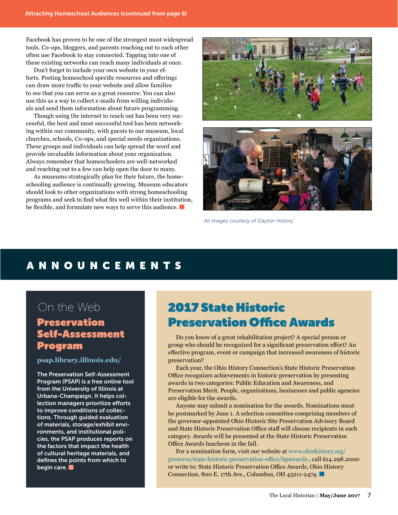Facebook has proven to be one of the strongest most widespread tools. Co-ops, bloggers, and parents reaching out to each other often use Facebook to stay connected. Tapping into one of these existing networks can reach many individuals at once.

Don't forget to include your own website in your efforts. Posting homeschool specific resources and offerings can draw more traffic to your website and allow families to see that you can serve as a great resource. You can also use this as a way to collect e-mails from willing individuals and send them information about future programming.

Though using the internet to reach out has been very successful, the best and most successful tool has been networking within our community, with guests to our museum, local churches, schools, Co-ops, and special needs organizations. These groups and individuals can help spread the word and provide invaluable information about your organization. Always remember that homeschoolers are well-networked and reaching out to a few can help open the door to many.

As museums strategically plan for their future, the homeschooling audience is continually growing. Museum educators should look to other organizations with strong homeschooling programs and seek to find what fits well within their institution, be flexible, and formulate new ways to serve this audience.



*All images courtesy of Dayton History.*

# ANNOUNCEMENTS

# On the Web

# Preservation Self-Assessment Program

**[psap.library.illinois.edu/](https://psap.library.illinois.edu/   )**

The Preservation Self-Assessment Program (PSAP) is a free online tool from the University of Illinois at Urbana-Champaign. It helps collection managers prioritize efforts to improve conditions of collections. Through guided evaluation of materials, storage/exhibit environments, and institutional policies, the PSAP produces reports on the factors that impact the health of cultural heritage materials, and defines the points from which to begin care.

# 2017 State Historic Preservation Office Awards

Do you know of a great rehabilitation project? A special person or group who should be recognized for a significant preservation effort? An effective program, event or campaign that increased awareness of historic preservation?

Each year, the Ohio History Connection's State Historic Preservation Office recognizes achievements in historic preservation by presenting awards in two categories: Public Education and Awareness, and Preservation Merit. People, organizations, businesses and public agencies are eligible for the awards.

Anyone may submit a nomination for the awards. Nominations must be postmarked by June 1. A selection committee comprising members of the governor-appointed Ohio Historic Site Preservation Advisory Board and State Historic Preservation Office staff will choose recipients in each category. Awards will be presented at the State Historic Preservation Office Awards luncheon in the fall.

For a nomination form, visit our website at [www.ohiohistory.org/](https://www.ohiohistory.org/preserve/state-historic-preservation-office/hpawards) [preserve/state-historic-preservation-office/hpawards](https://www.ohiohistory.org/preserve/state-historic-preservation-office/hpawards) , call 614.298.2000 or write to: State Historic Preservation Office Awards, Ohio History Connection, 800 E. 17th Ave., Columbus, OH 43211-2474.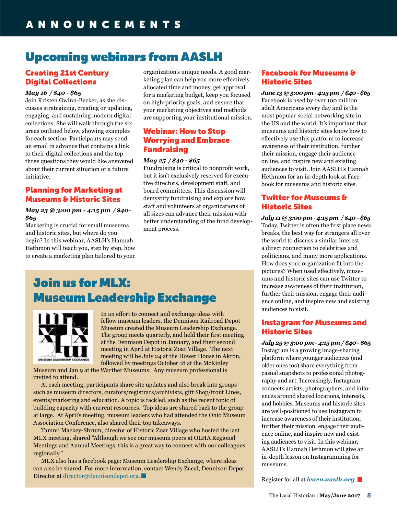# Upcoming webinars from AASLH

# Creating 21st Century Digital Collections

### *May 16 / \$40 - \$65*

Join Kristen Gwinn-Becker, as she discusses strategizing, creating or updating, engaging, and sustaining modern digital collections. She will walk through the six areas outlined below, showing examples for each section. Participants may send an email in advance that contains a link to their digital collections and the top three questions they would like answered about their current situation or a future initiative.

## Planning for Marketing at Museums & Historic Sites

## *May 23 @ 3:00 pm - 4:15 pm / \$40- \$65*

Marketing is crucial for small museums and historic sites, but where do you begin? In this webinar, AASLH's Hannah Hethmon will teach you, step by step, how to create a marketing plan tailored to your organization's unique needs. A good marketing plan can help you more effectively allocated time and money, get approval for a marketing budget, keep you focused on high-priority goals, and ensure that your marketing objectives and methods are supporting your institutional mission.

# Webinar: How to Stop Worrying and Embrace Fundraising

### *May 25 / \$40 - \$65*

Fundraising is critical to nonprofit work, but it isn't exclusively reserved for executive directors, development staff, and board committees. This discussion will demystify fundraising and explore how staff and volunteers at organizations of all sizes can advance their mission with better understanding of the fund development process.

## Facebook for Museums & Historic Sites

*June 13 @ 3:00 pm - 4:15 pm / \$40 - \$65* Facebook is used by over 100 million adult Americans every day and is the most popular social networking site in the US and the world. It's important that museums and historic sites know how to effectively use this platform to increase awareness of their institution, further their mission, engage their audience online, and inspire new and existing audiences to visit. Join AASLH's Hannah Hethmon for an in-depth look at Facebook for museums and historic sites.

## Twitter for Museums & Historic Sites

*July 11 @ 3:00 pm - 4:15 pm / \$40 - \$65* Today, Twitter is often the first place news breaks, the best way for strangers all over the world to discuss a similar interest, a direct connection to celebrities and politicians, and many more applications. How does your organization fit into the pictures? When used effectively, museums and historic sites can use Twitter to increase awareness of their institution, further their mission, engage their audience online, and inspire new and existing audiences to visit.

## Instagram for Museums and Historic Sites

*July 25 @ 3:00 pm - 4:15 pm / \$40 - \$65* Instagram is a growing image-sharing platform where younger audiences (and older ones too) share everything from casual snapshots to professional photography and art. Increasingly, Instagram connects artists, photographers, and influences around shared locations, interests, and hobbies. Museums and historic sites are well-positioned to use Instagram to increase awareness of their institution, further their mission, engage their audience online, and inspire new and existing audiences to visit. In this webinar, AASLH's Hannah Hethmon will give an in-depth lesson on Instagramming for museums.

Register for all at *[learn.aaslh.org](http://learn.aaslh.org)*

# Join us for MLX: Museum Leadership Exchange



In an effort to connect and exchange ideas with fellow museum leaders, the Dennison Railroad Depot Museum created the Museum Leadership Exchange. The group meets quarterly, and held their first meeting at the Dennison Depot in January, and their second meeting in April at Historic Zoar Village. The next meeting will be July 24 at the Hower House in Akron, followed by meetings October 18 at the McKinley

Museum and Jan 9 at the Warther Museums. Any museum professional is invited to attend.

At each meeting, participants share site updates and also break into groups such as museum directors, curators/registrars/archivists, gift Shop/front Lines, events/marketing and education. A topic is tackled, such as the recent topic of building capacity with current resources. Top ideas are shared back to the group at large. At April's meeting, museum leaders who had attended the Ohio Museum Association Conference, also shared their top takeaways.

Tammi Mackey-Shrum, director of Historic Zoar Village who hosted the last MLX meeting, shared "Although we see our museum peers at OLHA Regional Meetings and Annual Meetings, this is a great way to connect with our colleagues regionally."

MLX also has a facebook page: Museum Leadership Exchange, where ideas can also be shared. For more information, contact Wendy Zucal, Dennison Depot Director at [director@dennisondepot.org](mailto:director@dennisondepot.org).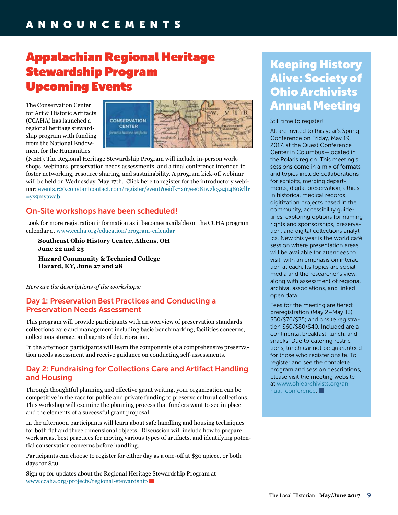# Appalachian Regional Heritage Stewardship Program Upcoming Events

The Conservation Center for Art & Historic Artifacts (CCAHA) has launched a regional heritage stewardship program with funding from the National Endowment for the Humanities



(NEH). The Regional Heritage Stewardship Program will include in-person workshops, webinars, preservation needs assessments, and a final conference intended to foster networking, resource sharing, and sustainability. A program kick-off webinar will be held on Wednesday, May 17th. Click here to register for the introductory webinar: [events.r20.constantcontact.com/register/event?oeidk=a07ee081wzlc5a41480&llr](http://events.r20.constantcontact.com/register/event?oeidk=a07ee081wzlc5a41480&llr=ys9myawab) [=ys9myawab](http://events.r20.constantcontact.com/register/event?oeidk=a07ee081wzlc5a41480&llr=ys9myawab)

# On-Site workshops have been scheduled!

Look for more registration information as it becomes available on the CCHA program calendar at [www.ccaha.org/education/program](http://www.ccaha.org/education/program-calendar)-calendar

 **Southeast Ohio History Center, Athens, OH June 22 and 23 Hazard Community & Technical College Hazard, KY, June 27 and 28**

*Here are the descriptions of the workshops:*

## Day 1: Preservation Best Practices and Conducting a Preservation Needs Assessment

This program will provide participants with an overview of preservation standards collections care and management including basic benchmarking, facilities concerns, collections storage, and agents of deterioration.

In the afternoon participants will learn the components of a comprehensive preservation needs assessment and receive guidance on conducting self-assessments.

## Day 2: Fundraising for Collections Care and Artifact Handling and Housing

Through thoughtful planning and effective grant writing, your organization can be competitive in the race for public and private funding to preserve cultural collections. This workshop will examine the planning process that funders want to see in place and the elements of a successful grant proposal.

In the afternoon participants will learn about safe handling and housing techniques for both flat and three dimensional objects. Discussion will include how to prepare work areas, best practices for moving various types of artifacts, and identifying potential conservation concerns before handling.

Participants can choose to register for either day as a one-off at \$30 apiece, or both days for \$50.

Sign up for updates about the Regional Heritage Stewardship Program at [www.ccaha.org/projects/regional](http://www.ccaha.org/projects/regional-stewardship)-stewardship

# Keeping History Alive: Society of Ohio Archivists Annual Meeting

### Still time to register!

All are invited to this year's Spring Conference on Friday, May 19, 2017, at the Quest Conference Center in Columbus—located in the Polaris region. This meeting's sessions come in a mix of formats and topics include collaborations for exhibits, merging departments, digital preservation, ethics in historical medical records, digitization projects based in the community, accessibility guidelines, exploring options for naming rights and sponsorships, preservation, and digital collections analytics. New this year is the world café session where presentation areas will be available for attendees to visit, with an emphasis on interaction at each. Its topics are social media and the researcher's view, along with assessment of regional archival associations, and linked open data.

Fees for the meeting are tiered: preregistration (May 2–May 13) \$50/\$70/\$35; and onsite registration \$60/\$80/\$40. Included are a continental breakfast, lunch, and snacks. Due to catering restrictions, lunch cannot be guaranteed for those who register onsite. To register and see the complete program and session descriptions, please visit the meeting website at [www.ohioarchivists.org/an](http://www.ohioarchivists.org/annual_conference)nual conference.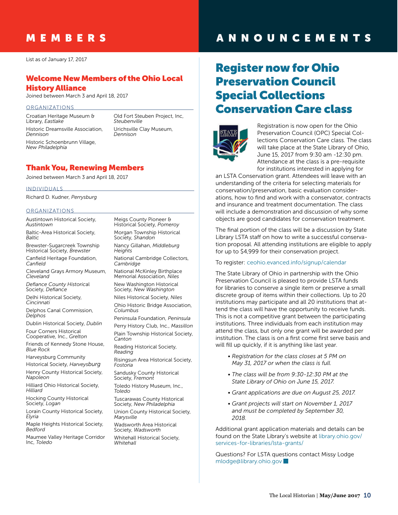# MEMBERS

List as of January 17, 2017

## Welcome New Members of the Ohio Local History Alliance

Joined between March 3 and April 18, 2017

#### ORGANIZATIONS

Croatian Heritage Museum & Library, *Eastlake* Historic Dreamsville Association, *Dennison* Historic Schoenbrunn Village, *New Philadelphia*

Old Fort Steuben Project, Inc, *Steubenville* Urichsville Clay Museum, *Dennison*

## Thank You, Renewing Members

Joined between March 3 and April 18, 2017

INDIVIDUALS

Richard D. Kudner, *Perrysburg*

#### ORGANIZATIONS

Austintown Historical Society, *Austintown*

Baltic-Area Historical Society, *Baltic*

Brewster-Sugarcreek Township Historical Society, *Brewster*

Canfield Heritage Foundation, *Canfield*

Cleveland Grays Armory Museum, *Cleveland*

*Defiance County Historic*al Society, *Defiance*

Delhi Historical Society, *Cincinnati*

Delphos Canal Commission, *Delphos*

Dublin Historical Society, *Dublin*

Four Corners Historical Cooperative, Inc., *Grelton*

Friends of Kennedy Stone House, *Blue Rock*

Harveysburg Community

Historical Society, *Harveysburg*

Henry County Historical Society, *Napoleon*

Hilliard Ohio Historical Society, *Hilliard*

Hocking County Historical Society, *Logan*

Lorain County Historical Society, *Elyria*

Maple Heights Historical Society, *Bedford*

Maumee Valley Heritage Corridor Inc, *Toledo*

Historical Society, *Pomeroy* Morgan Township Historical Society, *Shandon* Nancy Gillahan, *Middleburg Heights* National Cambridge Collectors, *Cambridge*

Meigs County Pioneer &

National McKinley Birthplace Memorial Association, *Niles*

New Washington Historical Society, *New Washington* Niles Historical Society, *Niles*

Ohio Historic Bridge Association, *Columbus*

Peninsula Foundation, *Peninsula* Perry History Club, Inc., *Massillon* Plain Township Historical Society,

*Canton* Reading Historical Society,

*Reading*

Risingsun Area Historical Society, *Fostoria*

Sandusky County Historical Society, *Fremont*

Toledo History Museum, Inc., *Toledo*

Tuscarawas County Historical Society, *New Philadelphia*

Union County Historical Society, *Marysville*

Wadsworth Area Historical Society, *Wadsworth* Whitehall Historical Society,

*Whitehall*

# ANNOUNCEMENTS

# Register now for Ohio Preservation Council Special Collections Conservation Care class



Registration is now open for the Ohio Preservation Council (OPC) Special Collections Conservation Care class. The class will take place at the State Library of Ohio, June 15, 2017 from 9:30 am -12:30 pm. Attendance at the class is a pre-requisite for institutions interested in applying for

an LSTA Conservation grant. Attendees will leave with an understanding of the criteria for selecting materials for conservation/preservation, basic evaluation considerations, how to find and work with a conservator, contracts and insurance and treatment documentation. The class will include a demonstration and discussion of why some objects are good candidates for conservation treatment.

The final portion of the class will be a discussion by State Library LSTA staff on how to write a successful conservation proposal. All attending institutions are eligible to apply for up to \$4,999 for their conservation project.

To register: [ceohio.evanced.info/signup/calendar](http://ceohio.evanced.info/signup/calendar)

The State Library of Ohio in partnership with the Ohio Preservation Council is pleased to provide LSTA funds for libraries to conserve a single item or preserve a small discrete group of items within their collections. Up to 20 institutions may participate and all 20 institutions that attend the class will have the opportunity to receive funds. This is not a competitive grant between the participating institutions. Three individuals from each institution may attend the class, but only one grant will be awarded per institution. The class is on a first come first serve basis and will fill up quickly, if it is anything like last year.

- *Registration for the class closes at 5 PM on May 31, 2017 or when the class is full.*
- *The class will be from 9:30-12:30 PM at the State Library of Ohio on June 15, 2017.*
- *Grant applications are due on August 25, 2017.*
- *Grant projects will start on November 1, 2017 and must be completed by September 30, 2018.*

Additional grant application materials and details can be found on the State Library's website at [library.ohio.gov/](https://library.ohio.gov/services-for-libraries/lsta-grants/) [services-for-libraries/lsta-](https://library.ohio.gov/services-for-libraries/lsta-grants/)grants/

Questions? For LSTA questions contact Missy Lodge [mlodge@library.ohio.gov](mailto:mlodge@library.ohio.gov)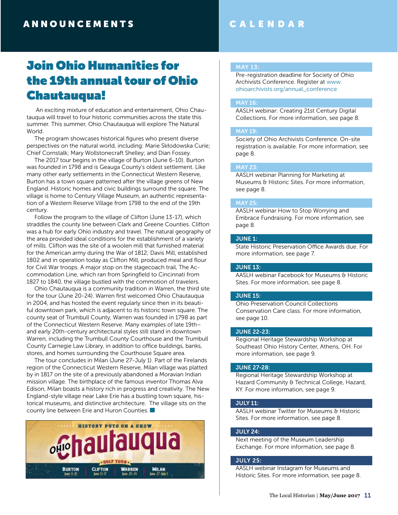# CALENDAR

# Join Ohio Humanities for the 19th annual tour of Ohio Chautauqua!

 An exciting mixture of education and entertainment, Ohio Chautauqua will travel to four historic communities across the state this summer. This summer, Ohio Chautauqua will explore The Natural World.

The program showcases historical figures who present diverse perspectives on the natural world, including: Marie Skłodowska Curie; Chief Cornstalk; Mary Wollstonecraft Shelley; and Dian Fossey.

The 2017 tour begins in the village of Burton (June 6-10). Burton was founded in 1798 and is Geauga County's oldest settlement. Like many other early settlements in the Connecticut Western Reserve, Burton has a town square patterned after the village greens of New England. Historic homes and civic buildings surround the square. The village is home to Century Village Museum, an authentic representation of a Western Reserve Village from 1798 to the end of the 19th century.

Follow the program to the village of Clifton (June 13-17), which straddles the county line between Clark and Greene Counties. Clifton was a hub for early Ohio industry and travel. The natural geography of the area provided ideal conditions for the establishment of a variety of mills. Clifton was the site of a woolen mill that furnished material for the American army during the War of 1812; Davis Mill, established 1802 and in operation today as Clifton Mill, produced meal and flour for Civil War troops. A major stop on the stagecoach trail, The Accommodation Line, which ran from Springfield to Cincinnati from 1827 to 1840, the village bustled with the commotion of travelers.

Ohio Chautauqua is a community tradition in Warren, the third site for the tour (June 20-24). Warren first welcomed Ohio Chautauqua in 2004, and has hosted the event regularly since then in its beautiful downtown park, which is adjacent to its historic town square. The county seat of Trumbull County, Warren was founded in 1798 as part of the Connecticut Western Reserve. Many examples of late 19th– and early 20th-century architectural styles still stand in downtown Warren, including the Trumbull County Courthouse and the Trumbull County Carnegie Law Library, in addition to office buildings, banks, stores, and homes surrounding the Courthouse Square area.

The tour concludes in Milan (June 27-July 1). Part of the Firelands region of the Connecticut Western Reserve, Milan village was platted by in 1817 on the site of a previously abandoned a Moravian Indian mission village. The birthplace of the famous inventor Thomas Alva Edison, Milan boasts a history rich in progress and creativity. The New England-style village near Lake Erie has a bustling town square, historical museums, and distinctive architecture. The village sits on the county line between Erie and Huron Counties.



#### MAY 13:

Pre-registration deadline for Society of Ohio Archivists Conference. Register at [www.](http://www.ohioarchivists.org/annual_conference) [ohioarchivists.org/annual\\_conference](http://www.ohioarchivists.org/annual_conference)

## MAY 16:

AASLH webinar: Creating 21st Century Digital Collections. For more information, see page 8.

#### MAY 19:

Society of Ohio Archivists Conference. On-site registration is available. For more information, see page 8.

#### MAY 23:

AASLH webinar Planning for Marketing at Museums & Historic Sites. For more information, see page 8.

### MAY 25:

AASLH webinar How to Stop Worrying and Embrace Fundraising. For more information, see page 8.

#### JUNE 1:

State Historic Preservation Office Awards due. For more information, see page 7.

### JUNE 13:

AASLH webinar Facebook for Museums & Historic Sites. For more information, see page 8.

#### JUNE 15:

Ohio Preservation Council Collections Conservation Care class. For more information, see page 10.

#### JUNE 22-23:

Regional Heritage Stewardship Workshop at Southeast Ohio History Center, Athens, OH. For more information, see page 9.

#### JUNE 27-28:

Regional Heritage Stewardship Workshop at Hazard Community & Technical College, Hazard, KY. For more information, see page 9.

#### JULY 11:

AASLH webinar Twitter for Museums & Historic Sites. For more information, see page 8.

#### JULY 24:

Next meeting of the Museum Leadership Exchange. For more information, see page 8.

#### JULY 25:

AASLH webinar Instagram for Museums and Historic Sites. For more information, see page 8.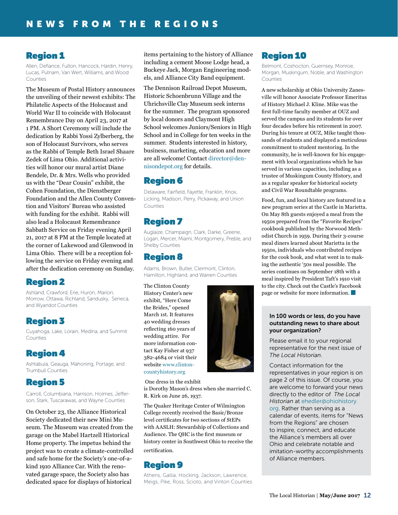# Region 1

Allen, Defiance, Fulton, Hancock, Hardin, Henry, Lucas, Putnam, Van Wert, Williams, and Wood Counties

The Museum of Postal History announces the unveiling of their newest exhibits: The Philatelic Aspects of the Holocaust and World War II to coincide with Holocaust Remembrance Day on April 23, 2017 at 1 PM. A Short Ceremony will include the dedication by Rabbi Yossi Zylberberg, the son of Holocaust Survivors, who serves as the Rabbi of Temple Beth Israel Shaare Zedek of Lima Ohio. Additional activities will honor our mural artist Diane Bendele, Dr. & Mrs. Wells who provided us with the "Dear Cousin" exhibit, the Cohen Foundation, the Dienstberger Foundation and the Allen County Convention and Visitors' Bureau who assisted with funding for the exhibit. Rabbi will also lead a Holocaust Remembrance Sabbath Service on Friday evening April 21, 2017 at 8 PM at the Temple located at the corner of Lakewood and Glenwood in Lima Ohio. There will be a reception following the service on Friday evening and after the dedication ceremony on Sunday.

# Region 2

Ashland, Crawford, Erie, Huron, Marion, Morrow, Ottawa, Richland, Sandusky, Seneca, and Wyandot Counties

# Region 3

Cuyahoga, Lake, Lorain, Medina, and Summit Counties

# Region 4

Ashtabula, Geauga, Mahoning, Portage, and Trumbull Counties

# Region 5

Carroll, Columbiana, Harrison, Holmes, Jefferson, Stark, Tuscarawas, and Wayne Counties

On October 23, the Alliance Historical Society dedicated their new Mini Museum. The Museum was created from the garage on the Mabel Hartzell Historical Home property. The impetus behind the project was to create a climate-controlled and safe home for the Society's one-of-akind 1910 Alliance Car. With the renovated garage space, the Society also has dedicated space for displays of historical

items pertaining to the history of Alliance including a cement Moose Lodge head, a Buckeye Jack, Morgan Engineering models, and Alliance City Band equipment.

The Dennison Railroad Depot Museum, Historic Schoenbrunn Village and the Uhrichsville Clay Museum seek interns for the summer. The program sponsored by local donors and Claymont High School welcomes Juniors/Seniors in High School and in College for ten weeks in the summer. Students interested in history, business, marketing, education and more are all welcome! Contact [director@den](mailto:director@dennisondepot.org)[nisondepot.org](mailto:director@dennisondepot.org) for details.

# Region 6

Delaware, Fairfield, Fayette, Franklin, Knox, Licking, Madison, Perry, Pickaway, and Union Counties

# Region 7

Auglaize, Champaign, Clark, Darke, Greene, Logan, Mercer, Miami, Montgomery, Preble, and Shelby Counties

# Region 8

Adams, Brown, Butler, Clermont, Clinton, Hamilton, Highland, and Warren Counties

The Clinton County History Center's new exhibit, "Here Come the Brides," opened March 1st. It features 40 wedding dresses reflecting 160 years of wedding attire. For more information contact Kay Fisher at 937 382-4684 or visit their website [www.clinton](http://www.clintoncountyhistory.org)[countyhistory.org](http://www.clintoncountyhistory.org)



One dress in the exhibit

is Dorothy Mason's dress when she married C. R. Kirk on June 26, 1937.

The Quaker Heritage Center of Wilmington College recently received the Basic/Bronze level certificates for two sections of StEPs with AASLH: Stewardship of Collections and Audience. The QHC is the first museum or history center in Southwest Ohio to receive the certification.

# Region 9

Athens, Gallia, Hocking, Jackson, Lawrence, Meigs, Pike, Ross, Scioto, and Vinton Counties

# Region 10

Belmont, Coshocton, Guernsey, Monroe, Morgan, Muskingum, Noble, and Washington Counties

A new scholarship at Ohio University Zanesville will honor Associate Professor Emeritus of History Michael J. Kline. Mike was the first full-time faculty member at OUZ and served the campus and its students for over four decades before his retirement in 2007. During his tenure at OUZ, Mike taught thousands of students and displayed a meticulous commitment to student mentoring. In the community, he is well-known for his engagement with local organizations which he has served in various capacities, including as a trustee of Muskingum County History, and as a regular speaker for historical society and Civil War Roundtable programs.

Food, fun, and local history are featured in a new program series at the Castle in Marietta. On May 8th guests enjoyed a meal from the 1950s prepared from the "Favorite Recipes" cookbook published by the Norwood Methodist Church in 1959. During their 3-course meal diners learned about Marietta in the 1950s, individuals who contributed recipes for the cook book, and what went in to making the authentic '50s meal possible. The series continues on September 18th with a meal inspired by President Taft's 1910 visit to the city. Check out the Castle's Facebook page or website for more information.

### In 100 words or less, do you have outstanding news to share about your organization?

Please email it to your regional representative for the next issue of *The Local Historian*.

Contact information for the representatives in your region is on page 2 of this issue. Of course, you are welcome to forward your news directly to the editor of *The Local Historian* at ehedler[@ohiohistory.](mailto:ehedler%40ohiohistory.org?subject=) [org.](mailto:ehedler%40ohiohistory.org?subject=) Rather than serving as a calendar of events, items for "News from the Regions" are chosen to inspire, connect, and educate the Alliance's members all over Ohio and celebrate notable and imitation-worthy accomplishments of Alliance members.